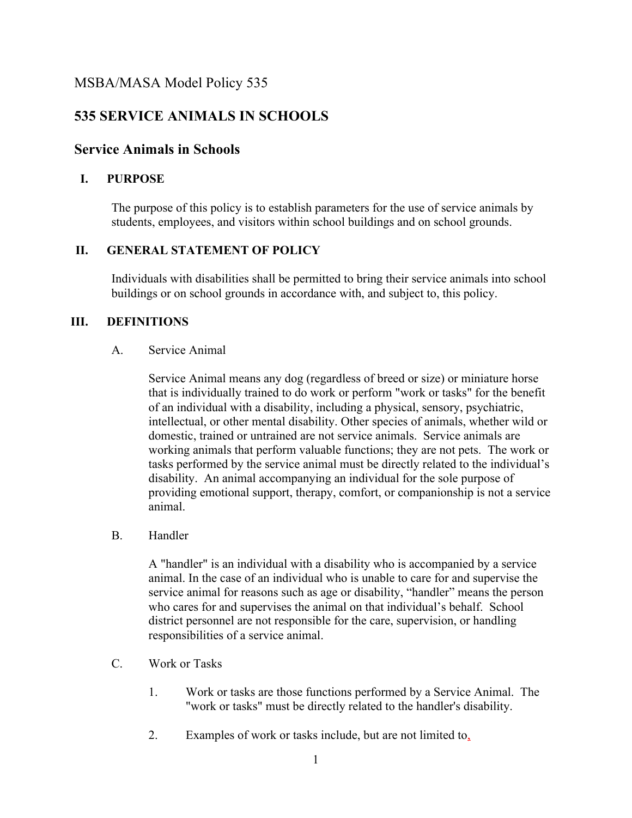# **535 SERVICE ANIMALS IN SCHOOLS**

## **Service Animals in Schools**

## **I. PURPOSE**

The purpose of this policy is to establish parameters for the use of service animals by students, employees, and visitors within school buildings and on school grounds.

## **II. GENERAL STATEMENT OF POLICY**

Individuals with disabilities shall be permitted to bring their service animals into school buildings or on school grounds in accordance with, and subject to, this policy.

## **III. DEFINITIONS**

#### A. Service Animal

Service Animal means any dog (regardless of breed or size) or miniature horse that is individually trained to do work or perform "work or tasks" for the benefit of an individual with a disability, including a physical, sensory, psychiatric, intellectual, or other mental disability. Other species of animals, whether wild or domestic, trained or untrained are not service animals. Service animals are working animals that perform valuable functions; they are not pets. The work or tasks performed by the service animal must be directly related to the individual's disability. An animal accompanying an individual for the sole purpose of providing emotional support, therapy, comfort, or companionship is not a service animal.

B. Handler

A "handler" is an individual with a disability who is accompanied by a service animal. In the case of an individual who is unable to care for and supervise the service animal for reasons such as age or disability, "handler" means the person who cares for and supervises the animal on that individual's behalf. School district personnel are not responsible for the care, supervision, or handling responsibilities of a service animal.

- C. Work or Tasks
	- 1. Work or tasks are those functions performed by a Service Animal. The "work or tasks" must be directly related to the handler's disability.
	- 2. Examples of work or tasks include, but are not limited to,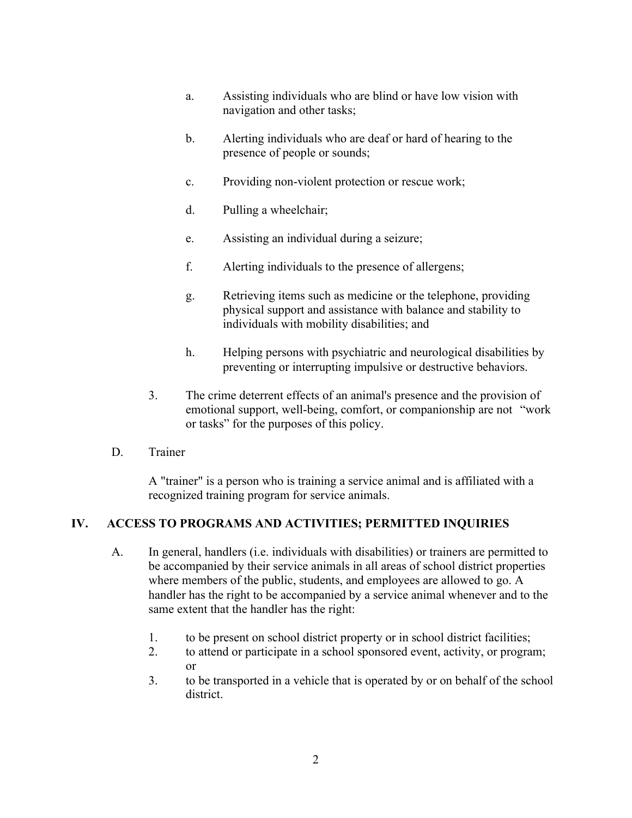- a. Assisting individuals who are blind or have low vision with navigation and other tasks;
- b. Alerting individuals who are deaf or hard of hearing to the presence of people or sounds;
- c. Providing non-violent protection or rescue work;
- d. Pulling a wheelchair;
- e. Assisting an individual during a seizure;
- f. Alerting individuals to the presence of allergens;
- g. Retrieving items such as medicine or the telephone, providing physical support and assistance with balance and stability to individuals with mobility disabilities; and
- h. Helping persons with psychiatric and neurological disabilities by preventing or interrupting impulsive or destructive behaviors.
- 3. The crime deterrent effects of an animal's presence and the provision of emotional support, well-being, comfort, or companionship are not "work or tasks" for the purposes of this policy.
- D. Trainer

A "trainer" is a person who is training a service animal and is affiliated with a recognized training program for service animals.

## **IV. ACCESS TO PROGRAMS AND ACTIVITIES; PERMITTED INQUIRIES**

- A. In general, handlers (i.e. individuals with disabilities) or trainers are permitted to be accompanied by their service animals in all areas of school district properties where members of the public, students, and employees are allowed to go. A handler has the right to be accompanied by a service animal whenever and to the same extent that the handler has the right:
	- 1. to be present on school district property or in school district facilities;
	- 2. to attend or participate in a school sponsored event, activity, or program; or
	- 3. to be transported in a vehicle that is operated by or on behalf of the school district.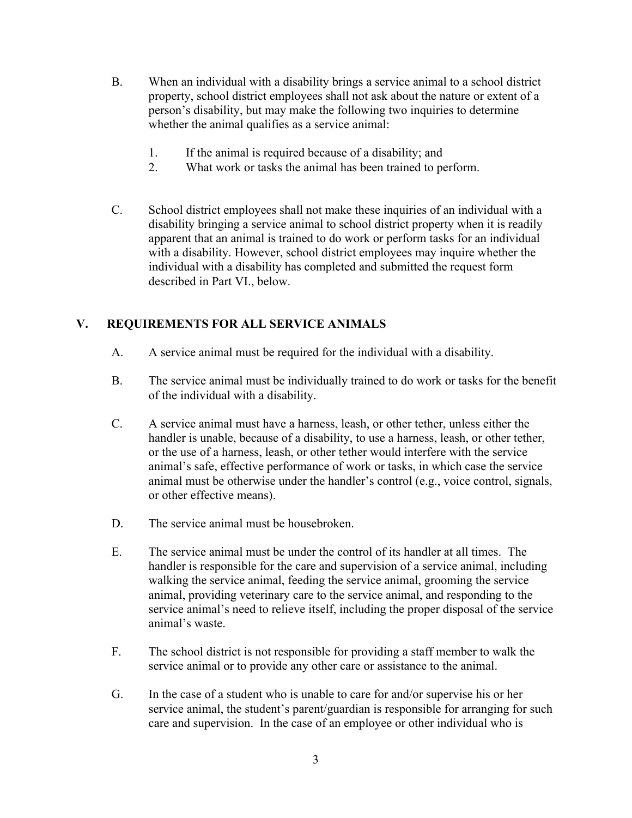- B. When an individual with a disability brings a service animal to a school district property, school district employees shall not ask about the nature or extent of a person's disability, but may make the following two inquiries to determine whether the animal qualifies as a service animal:
	- 1. If the animal is required because of a disability; and
	- 2. What work or tasks the animal has been trained to perform.
- C. School district employees shall not make these inquiries of an individual with a disability bringing a service animal to school district property when it is readily apparent that an animal is trained to do work or perform tasks for an individual with a disability. However, school district employees may inquire whether the individual with a disability has completed and submitted the request form described in Part VI., below.

## **V. REQUIREMENTS FOR ALL SERVICE ANIMALS**

- A. A service animal must be required for the individual with a disability.
- B. The service animal must be individually trained to do work or tasks for the benefit of the individual with a disability.
- C. A service animal must have a harness, leash, or other tether, unless either the handler is unable, because of a disability, to use a harness, leash, or other tether, or the use of a harness, leash, or other tether would interfere with the service animal's safe, effective performance of work or tasks, in which case the service animal must be otherwise under the handler's control (e.g., voice control, signals, or other effective means).
- D. The service animal must be housebroken.
- E. The service animal must be under the control of its handler at all times. The handler is responsible for the care and supervision of a service animal, including walking the service animal, feeding the service animal, grooming the service animal, providing veterinary care to the service animal, and responding to the service animal's need to relieve itself, including the proper disposal of the service animal's waste.
- F. The school district is not responsible for providing a staff member to walk the service animal or to provide any other care or assistance to the animal.
- G. In the case of a student who is unable to care for and/or supervise his or her service animal, the student's parent/guardian is responsible for arranging for such care and supervision. In the case of an employee or other individual who is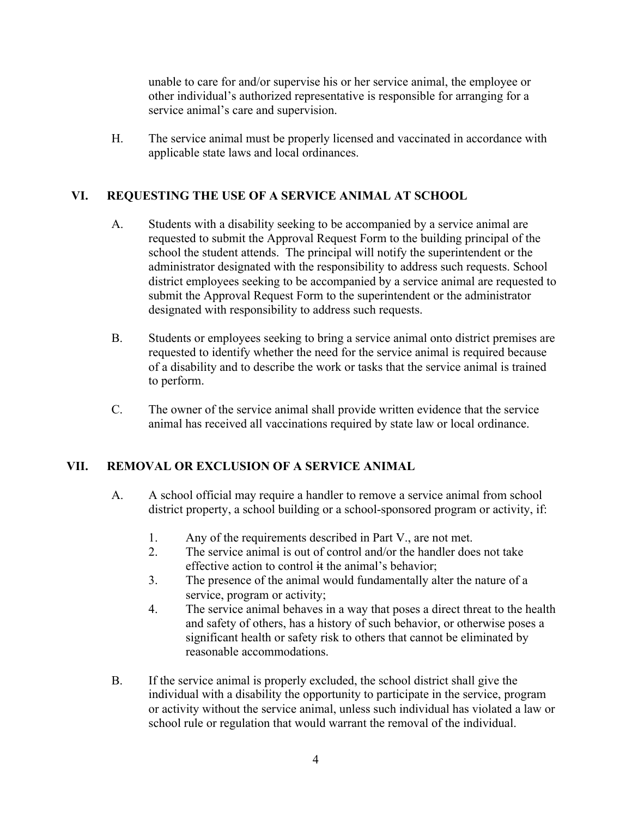unable to care for and/or supervise his or her service animal, the employee or other individual's authorized representative is responsible for arranging for a service animal's care and supervision.

H. The service animal must be properly licensed and vaccinated in accordance with applicable state laws and local ordinances.

## **VI. REQUESTING THE USE OF A SERVICE ANIMAL AT SCHOOL**

- A. Students with a disability seeking to be accompanied by a service animal are requested to submit the Approval Request Form to the building principal of the school the student attends. The principal will notify the superintendent or the administrator designated with the responsibility to address such requests. School district employees seeking to be accompanied by a service animal are requested to submit the Approval Request Form to the superintendent or the administrator designated with responsibility to address such requests.
- B. Students or employees seeking to bring a service animal onto district premises are requested to identify whether the need for the service animal is required because of a disability and to describe the work or tasks that the service animal is trained to perform.
- C. The owner of the service animal shall provide written evidence that the service animal has received all vaccinations required by state law or local ordinance.

#### **VII. REMOVAL OR EXCLUSION OF A SERVICE ANIMAL**

- A. A school official may require a handler to remove a service animal from school district property, a school building or a school-sponsored program or activity, if:
	- 1. Any of the requirements described in Part V., are not met.
	- 2. The service animal is out of control and/or the handler does not take effective action to control  $\ddot{a}$  the animal's behavior:
	- 3. The presence of the animal would fundamentally alter the nature of a service, program or activity;
	- 4. The service animal behaves in a way that poses a direct threat to the health and safety of others, has a history of such behavior, or otherwise poses a significant health or safety risk to others that cannot be eliminated by reasonable accommodations.
- B. If the service animal is properly excluded, the school district shall give the individual with a disability the opportunity to participate in the service, program or activity without the service animal, unless such individual has violated a law or school rule or regulation that would warrant the removal of the individual.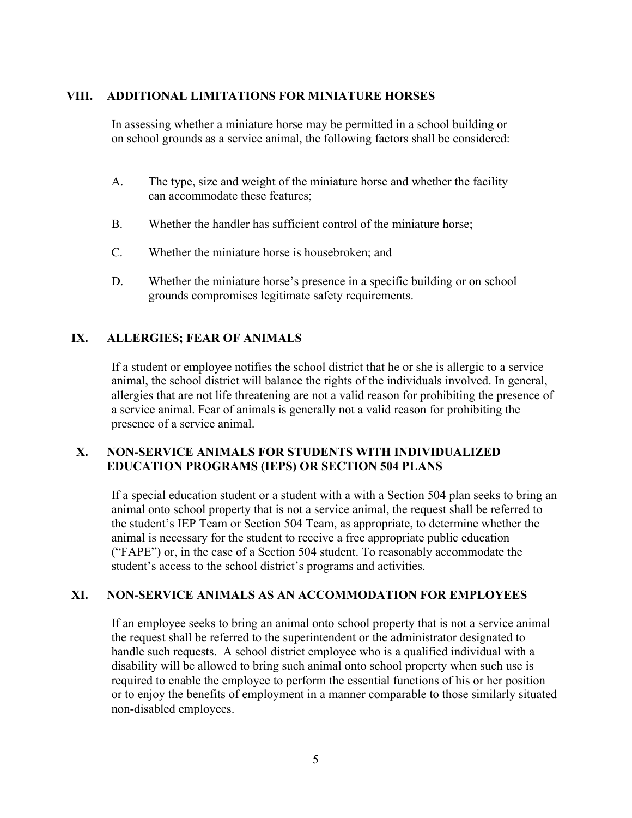#### **VIII. ADDITIONAL LIMITATIONS FOR MINIATURE HORSES**

In assessing whether a miniature horse may be permitted in a school building or on school grounds as a service animal, the following factors shall be considered:

- A. The type, size and weight of the miniature horse and whether the facility can accommodate these features;
- B. Whether the handler has sufficient control of the miniature horse;
- C. Whether the miniature horse is housebroken; and
- D. Whether the miniature horse's presence in a specific building or on school grounds compromises legitimate safety requirements.

## **IX. ALLERGIES; FEAR OF ANIMALS**

If a student or employee notifies the school district that he or she is allergic to a service animal, the school district will balance the rights of the individuals involved. In general, allergies that are not life threatening are not a valid reason for prohibiting the presence of a service animal. Fear of animals is generally not a valid reason for prohibiting the presence of a service animal.

#### **X. NON-SERVICE ANIMALS FOR STUDENTS WITH INDIVIDUALIZED EDUCATION PROGRAMS (IEPS) OR SECTION 504 PLANS**

If a special education student or a student with a with a Section 504 plan seeks to bring an animal onto school property that is not a service animal, the request shall be referred to the student's IEP Team or Section 504 Team, as appropriate, to determine whether the animal is necessary for the student to receive a free appropriate public education ("FAPE") or, in the case of a Section 504 student. To reasonably accommodate the student's access to the school district's programs and activities.

#### **XI. NON-SERVICE ANIMALS AS AN ACCOMMODATION FOR EMPLOYEES**

If an employee seeks to bring an animal onto school property that is not a service animal the request shall be referred to the superintendent or the administrator designated to handle such requests. A school district employee who is a qualified individual with a disability will be allowed to bring such animal onto school property when such use is required to enable the employee to perform the essential functions of his or her position or to enjoy the benefits of employment in a manner comparable to those similarly situated non-disabled employees.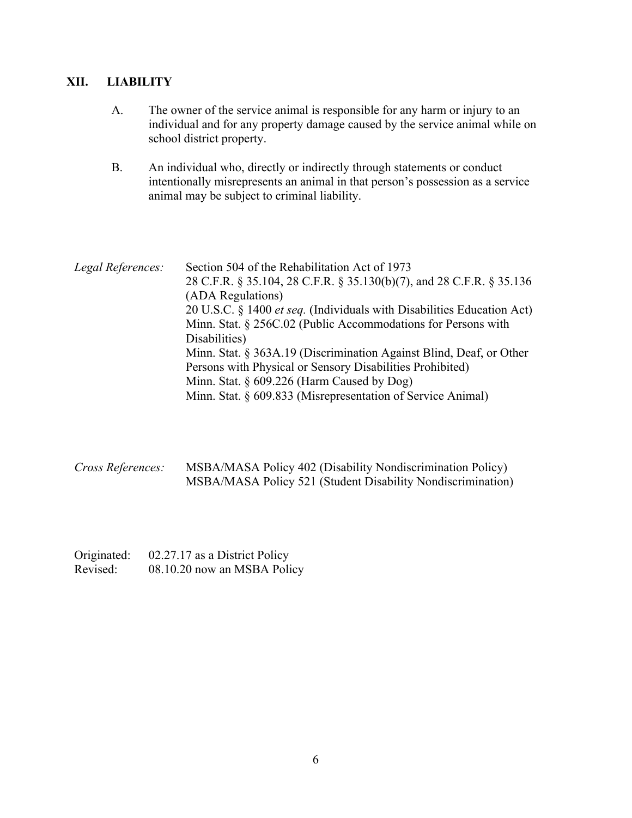#### **XII. LIABILITY**

- A. The owner of the service animal is responsible for any harm or injury to an individual and for any property damage caused by the service animal while on school district property.
- B. An individual who, directly or indirectly through statements or conduct intentionally misrepresents an animal in that person's possession as a service animal may be subject to criminal liability.

*Legal References:* Section 504 of the Rehabilitation Act of 1973 28 C.F.R. § 35.104, 28 C.F.R. § 35.130(b)(7), and 28 C.F.R. § 35.136 (ADA Regulations) 20 U.S.C. § 1400 *et seq.* (Individuals with Disabilities Education Act) Minn. Stat. § 256C.02 (Public Accommodations for Persons with Disabilities) Minn. Stat. § 363A.19 (Discrimination Against Blind, Deaf, or Other Persons with Physical or Sensory Disabilities Prohibited) Minn. Stat. § 609.226 (Harm Caused by Dog) Minn. Stat. § 609.833 (Misrepresentation of Service Animal)

*Cross References:* MSBA/MASA Policy 402 (Disability Nondiscrimination Policy) MSBA/MASA Policy 521 (Student Disability Nondiscrimination)

Originated: 02.27.17 as a District Policy Revised: 08.10.20 now an MSBA Policy